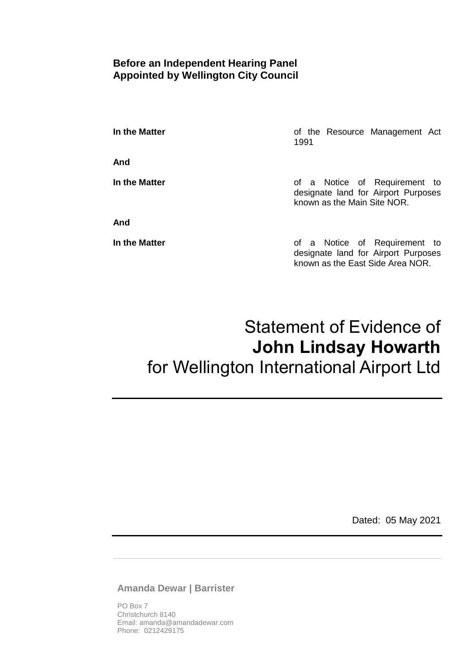### **Before an Independent Hearing Panel Appointed by Wellington City Council**

**In the Matter In the Matter of the Resource Management Act** 1991

**And**

**And**

**In the Matter In the Matter of a Notice of Requirement to** designate land for Airport Purposes known as the Main Site NOR.

**In the Matter In the Matter of a Notice of Requirement to** designate land for Airport Purposes known as the East Side Area NOR.

# Statement of Evidence of **John Lindsay Howarth** for Wellington International Airport Ltd

Dated: 05 May 2021

**Amanda Dewar | Barrister**

PO Box 7 Christchurch 8140 Email: amanda@amandadewar.com Phone: 0212429175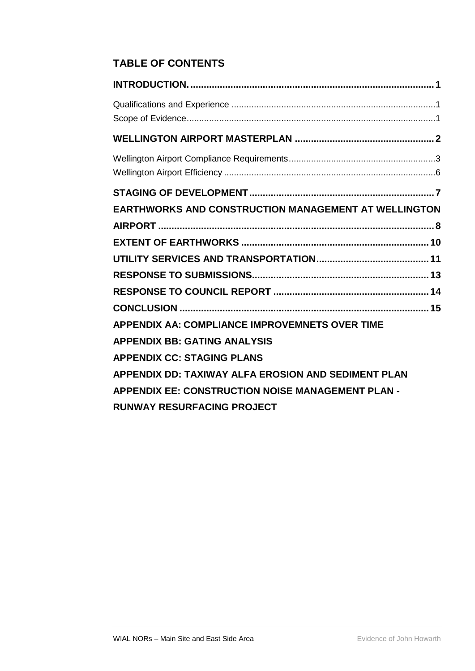# **TABLE OF CONTENTS**

| EARTHWORKS AND CONSTRUCTION MANAGEMENT AT WELLINGTON  |  |
|-------------------------------------------------------|--|
|                                                       |  |
|                                                       |  |
|                                                       |  |
|                                                       |  |
|                                                       |  |
|                                                       |  |
| <b>APPENDIX AA: COMPLIANCE IMPROVEMNETS OVER TIME</b> |  |
| <b>APPENDIX BB: GATING ANALYSIS</b>                   |  |
| <b>APPENDIX CC: STAGING PLANS</b>                     |  |
| APPENDIX DD: TAXIWAY ALFA EROSION AND SEDIMENT PLAN   |  |
| APPENDIX EE: CONSTRUCTION NOISE MANAGEMENT PLAN -     |  |
| <b>RUNWAY RESURFACING PROJECT</b>                     |  |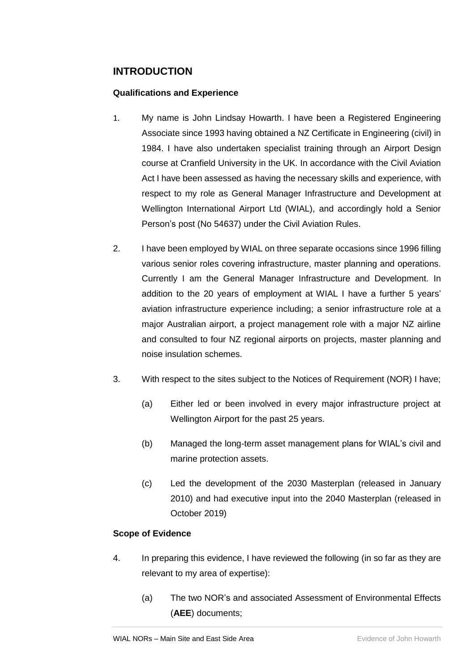## <span id="page-2-0"></span>**INTRODUCTION**

#### <span id="page-2-1"></span>**Qualifications and Experience**

- 1. My name is John Lindsay Howarth. I have been a Registered Engineering Associate since 1993 having obtained a NZ Certificate in Engineering (civil) in 1984. I have also undertaken specialist training through an Airport Design course at Cranfield University in the UK. In accordance with the Civil Aviation Act I have been assessed as having the necessary skills and experience, with respect to my role as General Manager Infrastructure and Development at Wellington International Airport Ltd (WIAL), and accordingly hold a Senior Person's post (No 54637) under the Civil Aviation Rules.
- 2. I have been employed by WIAL on three separate occasions since 1996 filling various senior roles covering infrastructure, master planning and operations. Currently I am the General Manager Infrastructure and Development. In addition to the 20 years of employment at WIAL I have a further 5 years' aviation infrastructure experience including; a senior infrastructure role at a major Australian airport, a project management role with a major NZ airline and consulted to four NZ regional airports on projects, master planning and noise insulation schemes.
- 3. With respect to the sites subject to the Notices of Requirement (NOR) I have;
	- (a) Either led or been involved in every major infrastructure project at Wellington Airport for the past 25 years.
	- (b) Managed the long-term asset management plans for WIAL's civil and marine protection assets.
	- (c) Led the development of the 2030 Masterplan (released in January 2010) and had executive input into the 2040 Masterplan (released in October 2019)

#### <span id="page-2-2"></span>**Scope of Evidence**

- 4. In preparing this evidence, I have reviewed the following (in so far as they are relevant to my area of expertise):
	- (a) The two NOR's and associated Assessment of Environmental Effects (**AEE**) documents;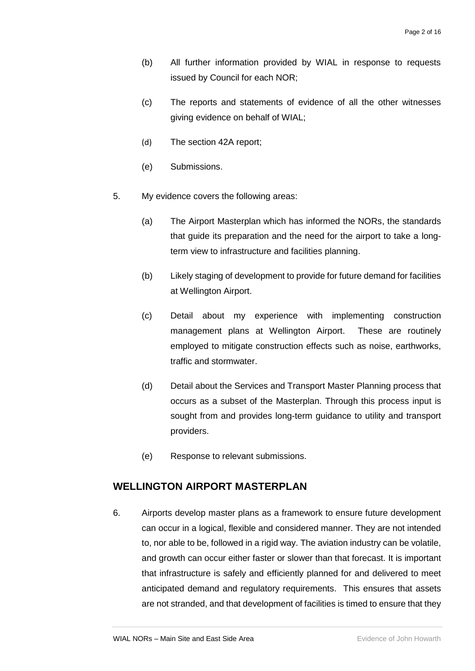- (b) All further information provided by WIAL in response to requests issued by Council for each NOR;
- (c) The reports and statements of evidence of all the other witnesses giving evidence on behalf of WIAL;
- (d) The section 42A report;
- (e) Submissions.
- 5. My evidence covers the following areas:
	- (a) The Airport Masterplan which has informed the NORs, the standards that guide its preparation and the need for the airport to take a longterm view to infrastructure and facilities planning.
	- (b) Likely staging of development to provide for future demand for facilities at Wellington Airport.
	- (c) Detail about my experience with implementing construction management plans at Wellington Airport. These are routinely employed to mitigate construction effects such as noise, earthworks, traffic and stormwater.
	- (d) Detail about the Services and Transport Master Planning process that occurs as a subset of the Masterplan. Through this process input is sought from and provides long-term guidance to utility and transport providers.
	- (e) Response to relevant submissions.

### <span id="page-3-0"></span>**WELLINGTON AIRPORT MASTERPLAN**

6. Airports develop master plans as a framework to ensure future development can occur in a logical, flexible and considered manner. They are not intended to, nor able to be, followed in a rigid way. The aviation industry can be volatile, and growth can occur either faster or slower than that forecast. It is important that infrastructure is safely and efficiently planned for and delivered to meet anticipated demand and regulatory requirements. This ensures that assets are not stranded, and that development of facilities is timed to ensure that they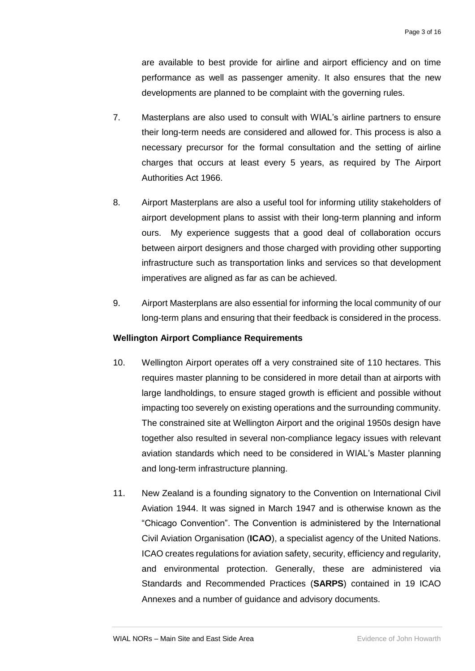are available to best provide for airline and airport efficiency and on time performance as well as passenger amenity. It also ensures that the new developments are planned to be complaint with the governing rules.

- 7. Masterplans are also used to consult with WIAL's airline partners to ensure their long-term needs are considered and allowed for. This process is also a necessary precursor for the formal consultation and the setting of airline charges that occurs at least every 5 years, as required by The Airport Authorities Act 1966.
- 8. Airport Masterplans are also a useful tool for informing utility stakeholders of airport development plans to assist with their long-term planning and inform ours. My experience suggests that a good deal of collaboration occurs between airport designers and those charged with providing other supporting infrastructure such as transportation links and services so that development imperatives are aligned as far as can be achieved.
- 9. Airport Masterplans are also essential for informing the local community of our long-term plans and ensuring that their feedback is considered in the process.

#### <span id="page-4-0"></span>**Wellington Airport Compliance Requirements**

- 10. Wellington Airport operates off a very constrained site of 110 hectares. This requires master planning to be considered in more detail than at airports with large landholdings, to ensure staged growth is efficient and possible without impacting too severely on existing operations and the surrounding community. The constrained site at Wellington Airport and the original 1950s design have together also resulted in several non-compliance legacy issues with relevant aviation standards which need to be considered in WIAL's Master planning and long-term infrastructure planning.
- 11. New Zealand is a founding signatory to the Convention on International Civil Aviation 1944. It was signed in March 1947 and is otherwise known as the "Chicago Convention". The Convention is administered by the International Civil Aviation Organisation (**ICAO**), a specialist agency of the United Nations. ICAO creates regulations for aviation safety, security, efficiency and regularity, and environmental protection. Generally, these are administered via Standards and Recommended Practices (**SARPS**) contained in 19 ICAO Annexes and a number of guidance and advisory documents.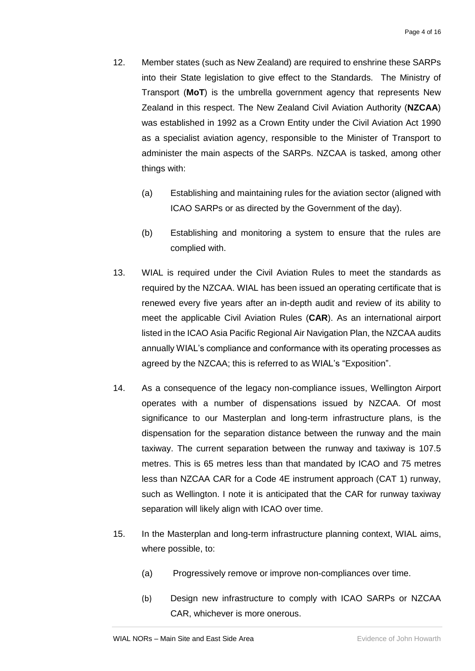- 12. Member states (such as New Zealand) are required to enshrine these SARPs into their State legislation to give effect to the Standards. The Ministry of Transport (**MoT**) is the umbrella government agency that represents New Zealand in this respect. The New Zealand Civil Aviation Authority (**NZCAA**) was established in 1992 as a Crown Entity under the Civil Aviation Act 1990 as a specialist aviation agency, responsible to the Minister of Transport to administer the main aspects of the SARPs. NZCAA is tasked, among other things with:
	- (a) Establishing and maintaining rules for the aviation sector (aligned with ICAO SARPs or as directed by the Government of the day).
	- (b) Establishing and monitoring a system to ensure that the rules are complied with.
- 13. WIAL is required under the Civil Aviation Rules to meet the standards as required by the NZCAA. WIAL has been issued an operating certificate that is renewed every five years after an in-depth audit and review of its ability to meet the applicable Civil Aviation Rules (**CAR**). As an international airport listed in the ICAO Asia Pacific Regional Air Navigation Plan, the NZCAA audits annually WIAL's compliance and conformance with its operating processes as agreed by the NZCAA; this is referred to as WIAL's "Exposition".
- 14. As a consequence of the legacy non-compliance issues, Wellington Airport operates with a number of dispensations issued by NZCAA. Of most significance to our Masterplan and long-term infrastructure plans, is the dispensation for the separation distance between the runway and the main taxiway. The current separation between the runway and taxiway is 107.5 metres. This is 65 metres less than that mandated by ICAO and 75 metres less than NZCAA CAR for a Code 4E instrument approach (CAT 1) runway, such as Wellington. I note it is anticipated that the CAR for runway taxiway separation will likely align with ICAO over time.
- 15. In the Masterplan and long-term infrastructure planning context, WIAL aims, where possible, to:
	- (a) Progressively remove or improve non-compliances over time.
	- (b) Design new infrastructure to comply with ICAO SARPs or NZCAA CAR, whichever is more onerous.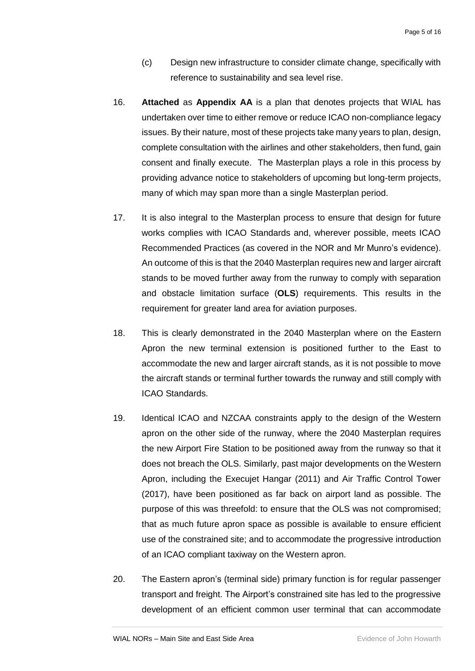- (c) Design new infrastructure to consider climate change, specifically with reference to sustainability and sea level rise.
- 16. **Attached** as **Appendix AA** is a plan that denotes projects that WIAL has undertaken over time to either remove or reduce ICAO non-compliance legacy issues. By their nature, most of these projects take many years to plan, design, complete consultation with the airlines and other stakeholders, then fund, gain consent and finally execute. The Masterplan plays a role in this process by providing advance notice to stakeholders of upcoming but long-term projects, many of which may span more than a single Masterplan period.
- 17. It is also integral to the Masterplan process to ensure that design for future works complies with ICAO Standards and, wherever possible, meets ICAO Recommended Practices (as covered in the NOR and Mr Munro's evidence). An outcome of this is that the 2040 Masterplan requires new and larger aircraft stands to be moved further away from the runway to comply with separation and obstacle limitation surface (**OLS**) requirements. This results in the requirement for greater land area for aviation purposes.
- 18. This is clearly demonstrated in the 2040 Masterplan where on the Eastern Apron the new terminal extension is positioned further to the East to accommodate the new and larger aircraft stands, as it is not possible to move the aircraft stands or terminal further towards the runway and still comply with ICAO Standards.
- 19. Identical ICAO and NZCAA constraints apply to the design of the Western apron on the other side of the runway, where the 2040 Masterplan requires the new Airport Fire Station to be positioned away from the runway so that it does not breach the OLS. Similarly, past major developments on the Western Apron, including the Execujet Hangar (2011) and Air Traffic Control Tower (2017), have been positioned as far back on airport land as possible. The purpose of this was threefold: to ensure that the OLS was not compromised; that as much future apron space as possible is available to ensure efficient use of the constrained site; and to accommodate the progressive introduction of an ICAO compliant taxiway on the Western apron.
- 20. The Eastern apron's (terminal side) primary function is for regular passenger transport and freight. The Airport's constrained site has led to the progressive development of an efficient common user terminal that can accommodate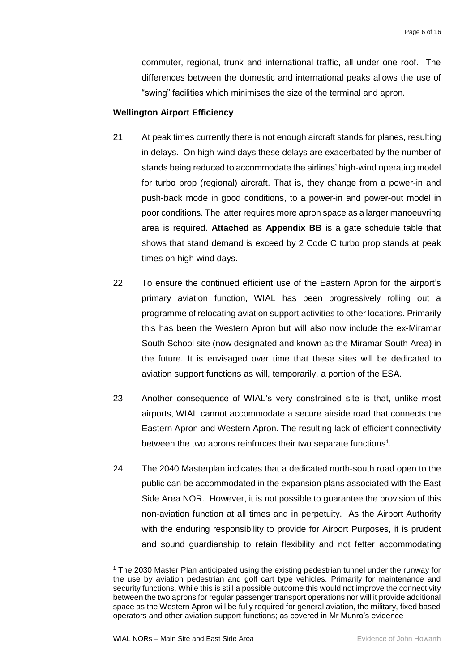commuter, regional, trunk and international traffic, all under one roof. The differences between the domestic and international peaks allows the use of "swing" facilities which minimises the size of the terminal and apron.

#### <span id="page-7-0"></span>**Wellington Airport Efficiency**

- 21. At peak times currently there is not enough aircraft stands for planes, resulting in delays. On high-wind days these delays are exacerbated by the number of stands being reduced to accommodate the airlines' high-wind operating model for turbo prop (regional) aircraft. That is, they change from a power-in and push-back mode in good conditions, to a power-in and power-out model in poor conditions. The latter requires more apron space as a larger manoeuvring area is required. **Attached** as **Appendix BB** is a gate schedule table that shows that stand demand is exceed by 2 Code C turbo prop stands at peak times on high wind days.
- 22. To ensure the continued efficient use of the Eastern Apron for the airport's primary aviation function, WIAL has been progressively rolling out a programme of relocating aviation support activities to other locations. Primarily this has been the Western Apron but will also now include the ex-Miramar South School site (now designated and known as the Miramar South Area) in the future. It is envisaged over time that these sites will be dedicated to aviation support functions as will, temporarily, a portion of the ESA.
- 23. Another consequence of WIAL's very constrained site is that, unlike most airports, WIAL cannot accommodate a secure airside road that connects the Eastern Apron and Western Apron. The resulting lack of efficient connectivity between the two aprons reinforces their two separate functions<sup>1</sup>.
- 24. The 2040 Masterplan indicates that a dedicated north-south road open to the public can be accommodated in the expansion plans associated with the East Side Area NOR. However, it is not possible to guarantee the provision of this non-aviation function at all times and in perpetuity. As the Airport Authority with the enduring responsibility to provide for Airport Purposes, it is prudent and sound guardianship to retain flexibility and not fetter accommodating

<sup>-</sup><sup>1</sup> The 2030 Master Plan anticipated using the existing pedestrian tunnel under the runway for the use by aviation pedestrian and golf cart type vehicles. Primarily for maintenance and security functions. While this is still a possible outcome this would not improve the connectivity between the two aprons for regular passenger transport operations nor will it provide additional space as the Western Apron will be fully required for general aviation, the military, fixed based operators and other aviation support functions; as covered in Mr Munro's evidence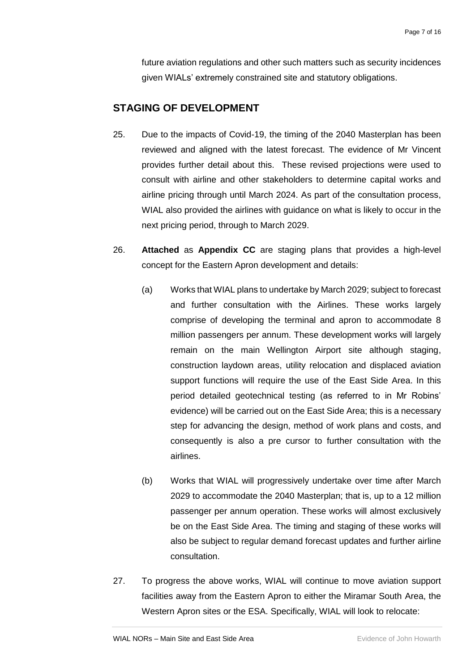future aviation regulations and other such matters such as security incidences given WIALs' extremely constrained site and statutory obligations.

### <span id="page-8-0"></span>**STAGING OF DEVELOPMENT**

- 25. Due to the impacts of Covid-19, the timing of the 2040 Masterplan has been reviewed and aligned with the latest forecast. The evidence of Mr Vincent provides further detail about this. These revised projections were used to consult with airline and other stakeholders to determine capital works and airline pricing through until March 2024. As part of the consultation process, WIAL also provided the airlines with guidance on what is likely to occur in the next pricing period, through to March 2029.
- 26. **Attached** as **Appendix CC** are staging plans that provides a high-level concept for the Eastern Apron development and details:
	- (a) Works that WIAL plans to undertake by March 2029; subject to forecast and further consultation with the Airlines. These works largely comprise of developing the terminal and apron to accommodate 8 million passengers per annum. These development works will largely remain on the main Wellington Airport site although staging, construction laydown areas, utility relocation and displaced aviation support functions will require the use of the East Side Area. In this period detailed geotechnical testing (as referred to in Mr Robins' evidence) will be carried out on the East Side Area; this is a necessary step for advancing the design, method of work plans and costs, and consequently is also a pre cursor to further consultation with the airlines.
	- (b) Works that WIAL will progressively undertake over time after March 2029 to accommodate the 2040 Masterplan; that is, up to a 12 million passenger per annum operation. These works will almost exclusively be on the East Side Area. The timing and staging of these works will also be subject to regular demand forecast updates and further airline consultation.
- 27. To progress the above works, WIAL will continue to move aviation support facilities away from the Eastern Apron to either the Miramar South Area, the Western Apron sites or the ESA. Specifically, WIAL will look to relocate: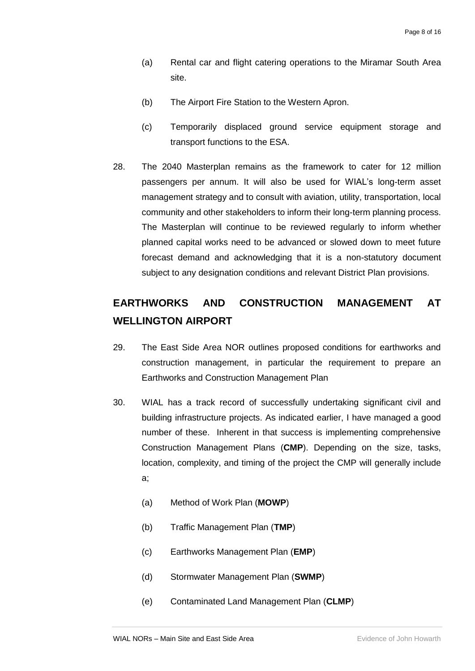- (a) Rental car and flight catering operations to the Miramar South Area site.
- (b) The Airport Fire Station to the Western Apron.
- (c) Temporarily displaced ground service equipment storage and transport functions to the ESA.
- 28. The 2040 Masterplan remains as the framework to cater for 12 million passengers per annum. It will also be used for WIAL's long-term asset management strategy and to consult with aviation, utility, transportation, local community and other stakeholders to inform their long-term planning process. The Masterplan will continue to be reviewed regularly to inform whether planned capital works need to be advanced or slowed down to meet future forecast demand and acknowledging that it is a non-statutory document subject to any designation conditions and relevant District Plan provisions.

# <span id="page-9-0"></span>**EARTHWORKS AND CONSTRUCTION MANAGEMENT AT WELLINGTON AIRPORT**

- 29. The East Side Area NOR outlines proposed conditions for earthworks and construction management, in particular the requirement to prepare an Earthworks and Construction Management Plan
- 30. WIAL has a track record of successfully undertaking significant civil and building infrastructure projects. As indicated earlier, I have managed a good number of these. Inherent in that success is implementing comprehensive Construction Management Plans (**CMP**). Depending on the size, tasks, location, complexity, and timing of the project the CMP will generally include a;
	- (a) Method of Work Plan (**MOWP**)
	- (b) Traffic Management Plan (**TMP**)
	- (c) Earthworks Management Plan (**EMP**)
	- (d) Stormwater Management Plan (**SWMP**)
	- (e) Contaminated Land Management Plan (**CLMP**)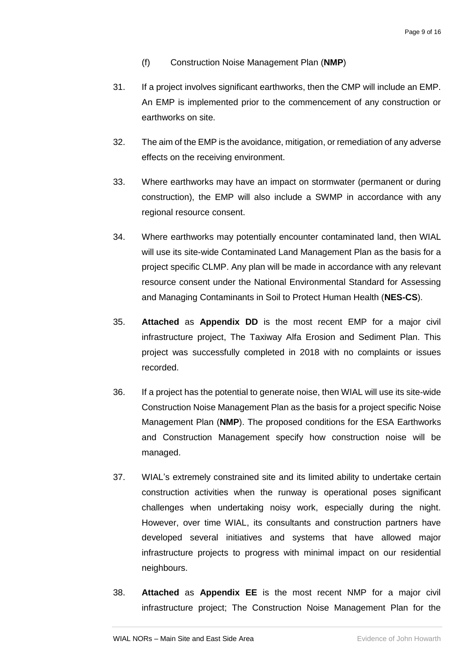- (f) Construction Noise Management Plan (**NMP**)
- 31. If a project involves significant earthworks, then the CMP will include an EMP. An EMP is implemented prior to the commencement of any construction or earthworks on site.
- 32. The aim of the EMP is the avoidance, mitigation, or remediation of any adverse effects on the receiving environment.
- 33. Where earthworks may have an impact on stormwater (permanent or during construction), the EMP will also include a SWMP in accordance with any regional resource consent.
- 34. Where earthworks may potentially encounter contaminated land, then WIAL will use its site-wide Contaminated Land Management Plan as the basis for a project specific CLMP. Any plan will be made in accordance with any relevant resource consent under the National Environmental Standard for Assessing and Managing Contaminants in Soil to Protect Human Health (**NES-CS**).
- 35. **Attached** as **Appendix DD** is the most recent EMP for a major civil infrastructure project, The Taxiway Alfa Erosion and Sediment Plan. This project was successfully completed in 2018 with no complaints or issues recorded.
- 36. If a project has the potential to generate noise, then WIAL will use its site-wide Construction Noise Management Plan as the basis for a project specific Noise Management Plan (**NMP**). The proposed conditions for the ESA Earthworks and Construction Management specify how construction noise will be managed.
- 37. WIAL's extremely constrained site and its limited ability to undertake certain construction activities when the runway is operational poses significant challenges when undertaking noisy work, especially during the night. However, over time WIAL, its consultants and construction partners have developed several initiatives and systems that have allowed major infrastructure projects to progress with minimal impact on our residential neighbours.
- 38. **Attached** as **Appendix EE** is the most recent NMP for a major civil infrastructure project; The Construction Noise Management Plan for the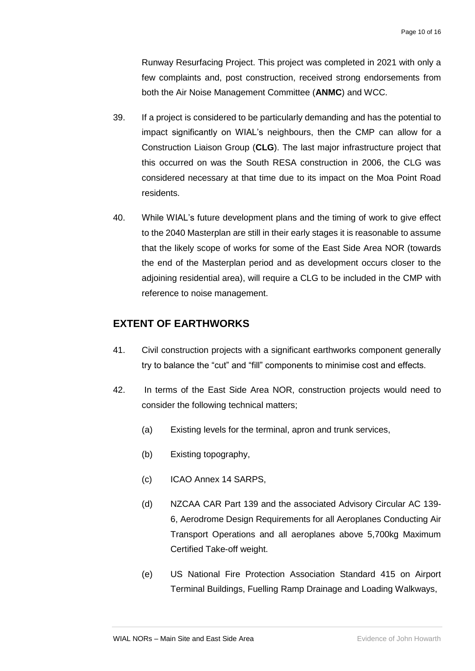Runway Resurfacing Project. This project was completed in 2021 with only a few complaints and, post construction, received strong endorsements from both the Air Noise Management Committee (**ANMC**) and WCC.

- 39. If a project is considered to be particularly demanding and has the potential to impact significantly on WIAL's neighbours, then the CMP can allow for a Construction Liaison Group (**CLG**). The last major infrastructure project that this occurred on was the South RESA construction in 2006, the CLG was considered necessary at that time due to its impact on the Moa Point Road residents.
- 40. While WIAL's future development plans and the timing of work to give effect to the 2040 Masterplan are still in their early stages it is reasonable to assume that the likely scope of works for some of the East Side Area NOR (towards the end of the Masterplan period and as development occurs closer to the adjoining residential area), will require a CLG to be included in the CMP with reference to noise management.

### <span id="page-11-0"></span>**EXTENT OF EARTHWORKS**

- 41. Civil construction projects with a significant earthworks component generally try to balance the "cut" and "fill" components to minimise cost and effects.
- 42. In terms of the East Side Area NOR, construction projects would need to consider the following technical matters;
	- (a) Existing levels for the terminal, apron and trunk services,
	- (b) Existing topography,
	- (c) ICAO Annex 14 SARPS,
	- (d) NZCAA CAR Part 139 and the associated Advisory Circular AC 139- 6, Aerodrome Design Requirements for all Aeroplanes Conducting Air Transport Operations and all aeroplanes above 5,700kg Maximum Certified Take-off weight.
	- (e) US National Fire Protection Association Standard 415 on Airport Terminal Buildings, Fuelling Ramp Drainage and Loading Walkways,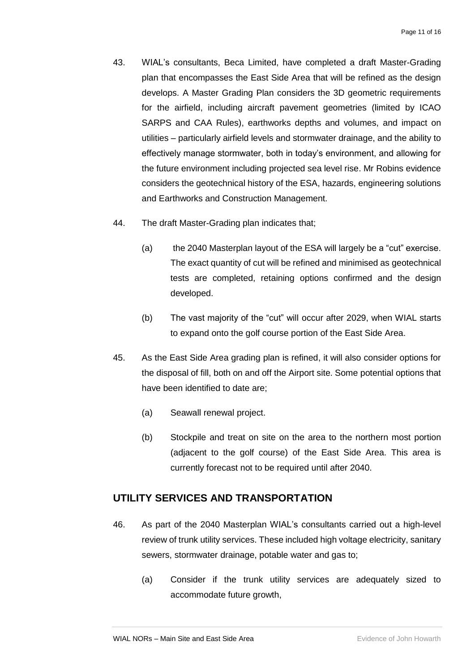- 43. WIAL's consultants, Beca Limited, have completed a draft Master-Grading plan that encompasses the East Side Area that will be refined as the design develops. A Master Grading Plan considers the 3D geometric requirements for the airfield, including aircraft pavement geometries (limited by ICAO SARPS and CAA Rules), earthworks depths and volumes, and impact on utilities – particularly airfield levels and stormwater drainage, and the ability to effectively manage stormwater, both in today's environment, and allowing for the future environment including projected sea level rise. Mr Robins evidence considers the geotechnical history of the ESA, hazards, engineering solutions and Earthworks and Construction Management.
- 44. The draft Master-Grading plan indicates that;
	- (a) the 2040 Masterplan layout of the ESA will largely be a "cut" exercise. The exact quantity of cut will be refined and minimised as geotechnical tests are completed, retaining options confirmed and the design developed.
	- (b) The vast majority of the "cut" will occur after 2029, when WIAL starts to expand onto the golf course portion of the East Side Area.
- 45. As the East Side Area grading plan is refined, it will also consider options for the disposal of fill, both on and off the Airport site. Some potential options that have been identified to date are;
	- (a) Seawall renewal project.
	- (b) Stockpile and treat on site on the area to the northern most portion (adjacent to the golf course) of the East Side Area. This area is currently forecast not to be required until after 2040.

### <span id="page-12-0"></span>**UTILITY SERVICES AND TRANSPORTATION**

- 46. As part of the 2040 Masterplan WIAL's consultants carried out a high-level review of trunk utility services. These included high voltage electricity, sanitary sewers, stormwater drainage, potable water and gas to;
	- (a) Consider if the trunk utility services are adequately sized to accommodate future growth,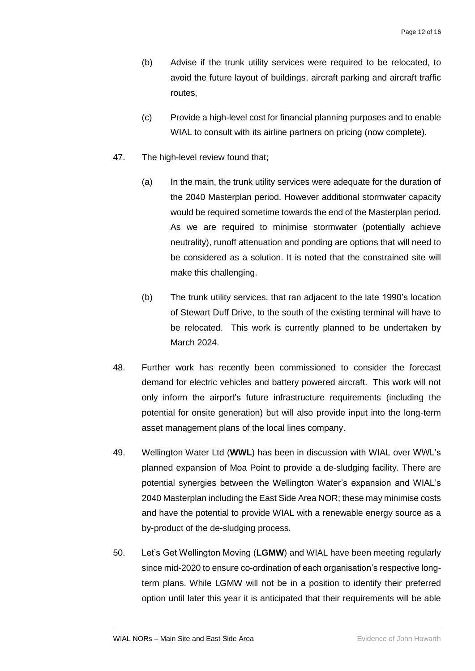- (b) Advise if the trunk utility services were required to be relocated, to avoid the future layout of buildings, aircraft parking and aircraft traffic routes,
- (c) Provide a high-level cost for financial planning purposes and to enable WIAL to consult with its airline partners on pricing (now complete).
- 47. The high-level review found that:
	- (a) In the main, the trunk utility services were adequate for the duration of the 2040 Masterplan period. However additional stormwater capacity would be required sometime towards the end of the Masterplan period. As we are required to minimise stormwater (potentially achieve neutrality), runoff attenuation and ponding are options that will need to be considered as a solution. It is noted that the constrained site will make this challenging.
	- (b) The trunk utility services, that ran adjacent to the late 1990's location of Stewart Duff Drive, to the south of the existing terminal will have to be relocated. This work is currently planned to be undertaken by March 2024.
- 48. Further work has recently been commissioned to consider the forecast demand for electric vehicles and battery powered aircraft. This work will not only inform the airport's future infrastructure requirements (including the potential for onsite generation) but will also provide input into the long-term asset management plans of the local lines company.
- 49. Wellington Water Ltd (**WWL**) has been in discussion with WIAL over WWL's planned expansion of Moa Point to provide a de-sludging facility. There are potential synergies between the Wellington Water's expansion and WIAL's 2040 Masterplan including the East Side Area NOR; these may minimise costs and have the potential to provide WIAL with a renewable energy source as a by-product of the de-sludging process.
- 50. Let's Get Wellington Moving (**LGMW**) and WIAL have been meeting regularly since mid-2020 to ensure co-ordination of each organisation's respective longterm plans. While LGMW will not be in a position to identify their preferred option until later this year it is anticipated that their requirements will be able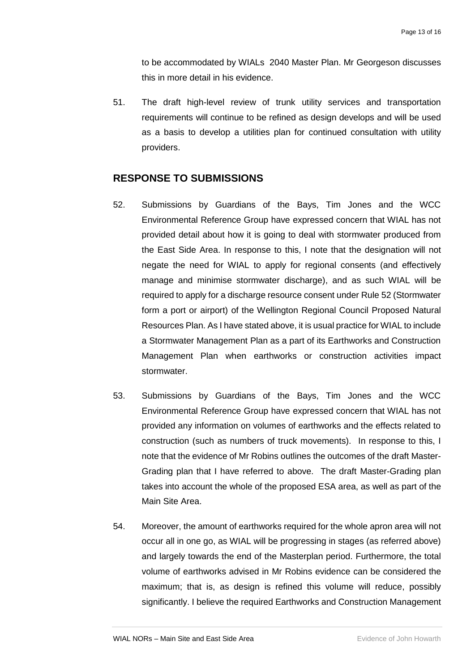to be accommodated by WIALs 2040 Master Plan. Mr Georgeson discusses this in more detail in his evidence.

51. The draft high-level review of trunk utility services and transportation requirements will continue to be refined as design develops and will be used as a basis to develop a utilities plan for continued consultation with utility providers.

### <span id="page-14-0"></span>**RESPONSE TO SUBMISSIONS**

- 52. Submissions by Guardians of the Bays, Tim Jones and the WCC Environmental Reference Group have expressed concern that WIAL has not provided detail about how it is going to deal with stormwater produced from the East Side Area. In response to this, I note that the designation will not negate the need for WIAL to apply for regional consents (and effectively manage and minimise stormwater discharge), and as such WIAL will be required to apply for a discharge resource consent under Rule 52 (Stormwater form a port or airport) of the Wellington Regional Council Proposed Natural Resources Plan. As I have stated above, it is usual practice for WIAL to include a Stormwater Management Plan as a part of its Earthworks and Construction Management Plan when earthworks or construction activities impact stormwater.
- 53. Submissions by Guardians of the Bays, Tim Jones and the WCC Environmental Reference Group have expressed concern that WIAL has not provided any information on volumes of earthworks and the effects related to construction (such as numbers of truck movements). In response to this, I note that the evidence of Mr Robins outlines the outcomes of the draft Master-Grading plan that I have referred to above. The draft Master-Grading plan takes into account the whole of the proposed ESA area, as well as part of the Main Site Area.
- 54. Moreover, the amount of earthworks required for the whole apron area will not occur all in one go, as WIAL will be progressing in stages (as referred above) and largely towards the end of the Masterplan period. Furthermore, the total volume of earthworks advised in Mr Robins evidence can be considered the maximum; that is, as design is refined this volume will reduce, possibly significantly. I believe the required Earthworks and Construction Management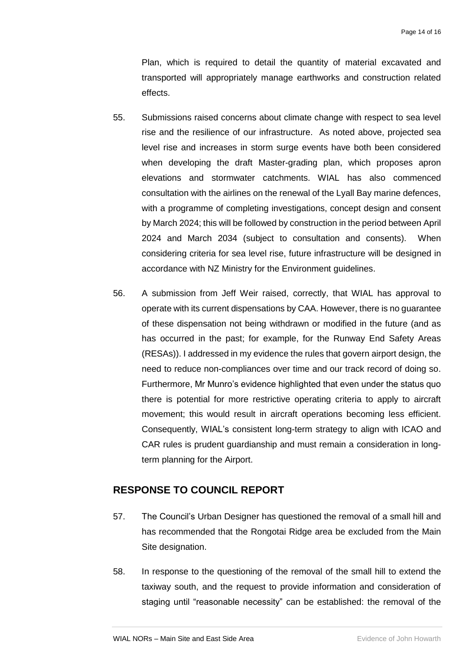Plan, which is required to detail the quantity of material excavated and transported will appropriately manage earthworks and construction related effects.

- 55. Submissions raised concerns about climate change with respect to sea level rise and the resilience of our infrastructure. As noted above, projected sea level rise and increases in storm surge events have both been considered when developing the draft Master-grading plan, which proposes apron elevations and stormwater catchments. WIAL has also commenced consultation with the airlines on the renewal of the Lyall Bay marine defences, with a programme of completing investigations, concept design and consent by March 2024; this will be followed by construction in the period between April 2024 and March 2034 (subject to consultation and consents). When considering criteria for sea level rise, future infrastructure will be designed in accordance with NZ Ministry for the Environment guidelines.
- 56. A submission from Jeff Weir raised, correctly, that WIAL has approval to operate with its current dispensations by CAA. However, there is no guarantee of these dispensation not being withdrawn or modified in the future (and as has occurred in the past; for example, for the Runway End Safety Areas (RESAs)). I addressed in my evidence the rules that govern airport design, the need to reduce non-compliances over time and our track record of doing so. Furthermore, Mr Munro's evidence highlighted that even under the status quo there is potential for more restrictive operating criteria to apply to aircraft movement; this would result in aircraft operations becoming less efficient. Consequently, WIAL's consistent long-term strategy to align with ICAO and CAR rules is prudent guardianship and must remain a consideration in longterm planning for the Airport.

#### <span id="page-15-0"></span>**RESPONSE TO COUNCIL REPORT**

- 57. The Council's Urban Designer has questioned the removal of a small hill and has recommended that the Rongotai Ridge area be excluded from the Main Site designation.
- 58. In response to the questioning of the removal of the small hill to extend the taxiway south, and the request to provide information and consideration of staging until "reasonable necessity" can be established: the removal of the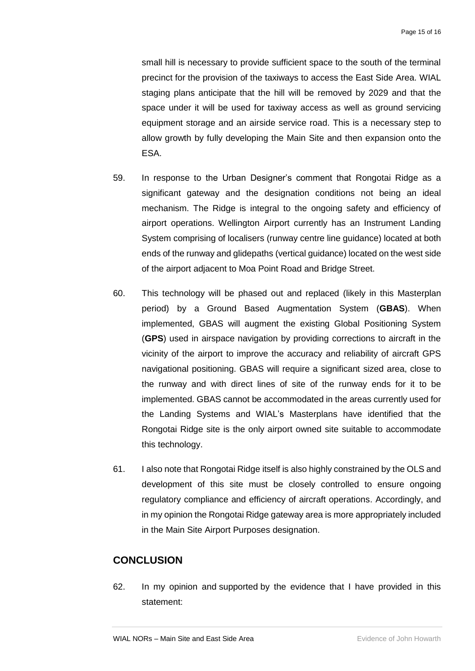small hill is necessary to provide sufficient space to the south of the terminal precinct for the provision of the taxiways to access the East Side Area. WIAL staging plans anticipate that the hill will be removed by 2029 and that the space under it will be used for taxiway access as well as ground servicing equipment storage and an airside service road. This is a necessary step to allow growth by fully developing the Main Site and then expansion onto the ESA.

- 59. In response to the Urban Designer's comment that Rongotai Ridge as a significant gateway and the designation conditions not being an ideal mechanism. The Ridge is integral to the ongoing safety and efficiency of airport operations. Wellington Airport currently has an Instrument Landing System comprising of localisers (runway centre line guidance) located at both ends of the runway and glidepaths (vertical guidance) located on the west side of the airport adjacent to Moa Point Road and Bridge Street.
- 60. This technology will be phased out and replaced (likely in this Masterplan period) by a Ground Based Augmentation System (**GBAS**). When implemented, GBAS will augment the existing Global Positioning System (**GPS**) used in airspace navigation by providing corrections to aircraft in the vicinity of the airport to improve the accuracy and reliability of aircraft GPS navigational positioning. GBAS will require a significant sized area, close to the runway and with direct lines of site of the runway ends for it to be implemented. GBAS cannot be accommodated in the areas currently used for the Landing Systems and WIAL's Masterplans have identified that the Rongotai Ridge site is the only airport owned site suitable to accommodate this technology.
- 61. I also note that Rongotai Ridge itself is also highly constrained by the OLS and development of this site must be closely controlled to ensure ongoing regulatory compliance and efficiency of aircraft operations. Accordingly, and in my opinion the Rongotai Ridge gateway area is more appropriately included in the Main Site Airport Purposes designation.

#### <span id="page-16-0"></span>**CONCLUSION**

62. In my opinion and supported by the evidence that I have provided in this statement: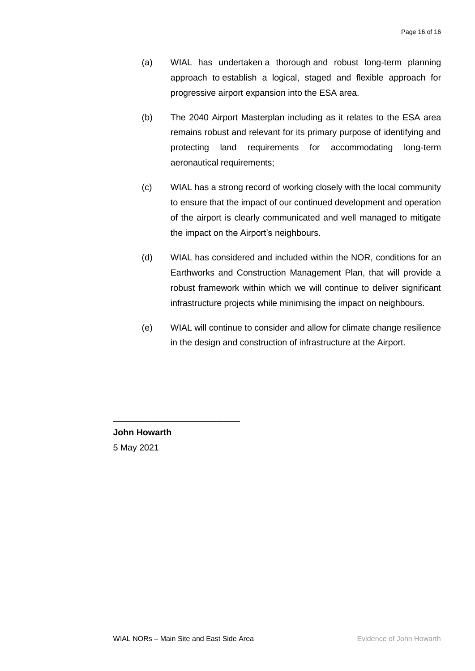- (a) WIAL has undertaken a thorough and robust long-term planning approach to establish a logical, staged and flexible approach for progressive airport expansion into the ESA area.
- (b) The 2040 Airport Masterplan including as it relates to the ESA area remains robust and relevant for its primary purpose of identifying and protecting land requirements for accommodating long-term aeronautical requirements;
- (c) WIAL has a strong record of working closely with the local community to ensure that the impact of our continued development and operation of the airport is clearly communicated and well managed to mitigate the impact on the Airport's neighbours.
- (d) WIAL has considered and included within the NOR, conditions for an Earthworks and Construction Management Plan, that will provide a robust framework within which we will continue to deliver significant infrastructure projects while minimising the impact on neighbours.
- (e) WIAL will continue to consider and allow for climate change resilience in the design and construction of infrastructure at the Airport.

**John Howarth** 5 May 2021

\_\_\_\_\_\_\_\_\_\_\_\_\_\_\_\_\_\_\_\_\_\_\_\_\_\_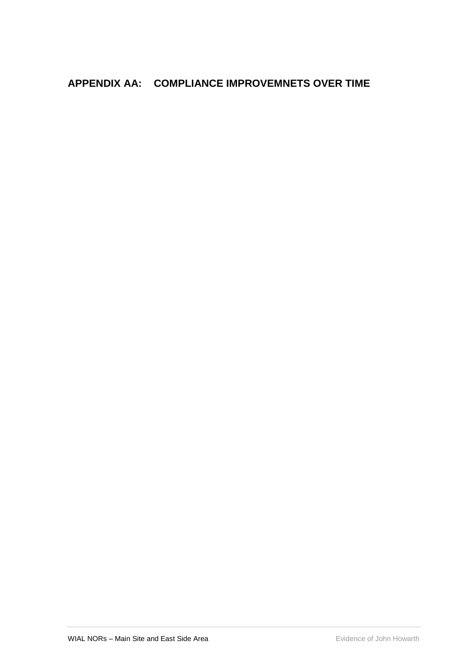# <span id="page-18-0"></span>**APPENDIX AA: COMPLIANCE IMPROVEMNETS OVER TIME**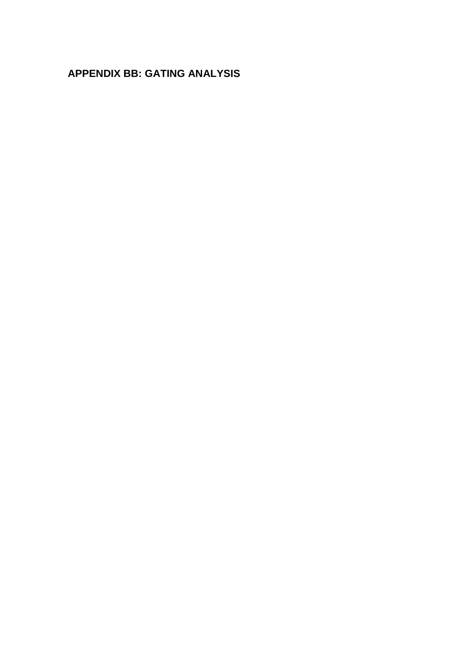# <span id="page-19-0"></span>**APPENDIX BB: GATING ANALYSIS**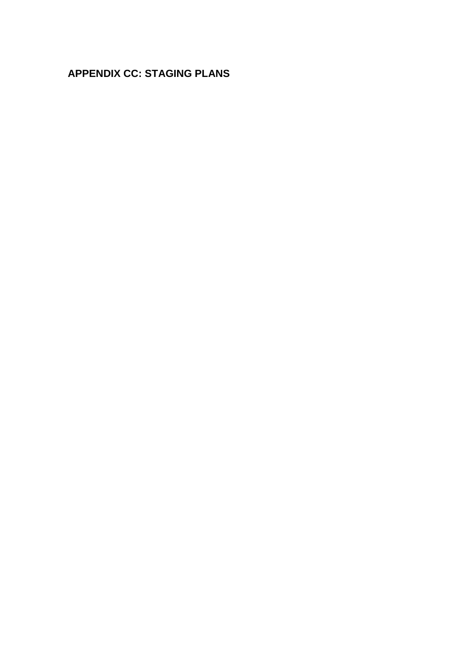# <span id="page-20-0"></span>**APPENDIX CC: STAGING PLANS**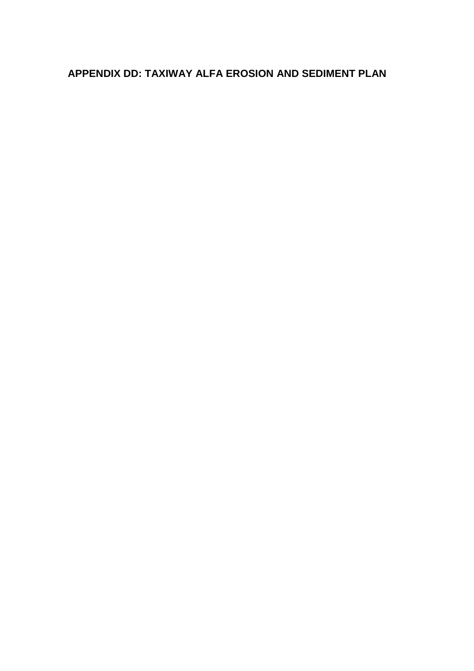# <span id="page-21-0"></span>**APPENDIX DD: TAXIWAY ALFA EROSION AND SEDIMENT PLAN**